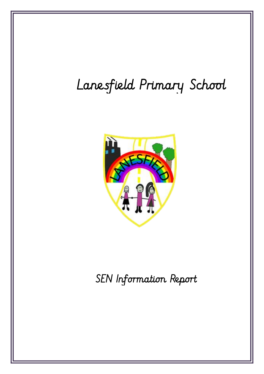# Lanesfield Primary School



SEN Information Report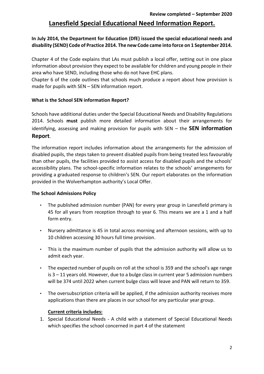## **Lanesfield Special Educational Need Information Report.**

## **In July 2014, the Department for Education (DfE) issued the special educational needs and disability (SEND) Code of Practice 2014. The new Code came into force on 1 September 2014.**

Chapter 4 of the Code explains that LAs must publish a local offer, setting out in one place information about provision they expect to be available for children and young people in their area who have SEND, including those who do not have EHC plans.

Chapter 6 of the code outlines that schools much produce a report about how provision is made for pupils with SEN – SEN information report.

#### **What is the School SEN information Report?**

Schools have additional duties under the Special Educational Needs and Disability Regulations 2014. Schools **must** publish more detailed information about their arrangements for identifying, assessing and making provision for pupils with SEN – the **SEN information Report**.

The information report includes information about the arrangements for the admission of disabled pupils, the steps taken to prevent disabled pupils from being treated less favourably than other pupils, the facilities provided to assist access for disabled pupils and the schools' accessibility plans. The school-specific information relates to the schools' arrangements for providing a graduated response to children's SEN. Our report elaborates on the information provided in the Wolverhampton authority's Local Offer.

#### **The School Admissions Policy**

- The published admission number (PAN) for every year group in Lanesfield primary is 45 for all years from reception through to year 6. This means we are a 1 and a half form entry.
- Nursery admittance is 45 in total across morning and afternoon sessions, with up to 10 children accessing 30 hours full time provision.
- This is the maximum number of pupils that the admission authority will allow us to admit each year.
- The expected number of pupils on roll at the school is 359 and the school's age range is 3 – 11 years old. However, due to a bulge class in current year 5 admission numbers will be 374 until 2022 when current bulge class will leave and PAN will return to 359.
- The oversubscription criteria will be applied, if the admission authority receives more applications than there are places in our school for any particular year group.

#### **Current criteria includes:**

1. Special Educational Needs - A child with a statement of Special Educational Needs which specifies the school concerned in part 4 of the statement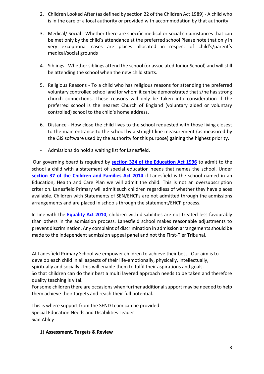- 2. Children Looked After (as defined by section 22 of the Children Act 1989) A child who is in the care of a local authority or provided with accommodation by that authority
- 3. Medical/ Social Whether there are specific medical or social circumstances that can be met only by the child's attendance at the preferred school Please note that only in very exceptional cases are places allocated in respect of child's/parent's medical/social grounds
- 4. Siblings Whether siblings attend the school (or associated Junior School) and will still be attending the school when the new child starts.
- 5. Religious Reasons To a child who has religious reasons for attending the preferred voluntary controlled school and for whom it can be demonstrated that s/he has strong church connections. These reasons will only be taken into consideration if the preferred school is the nearest Church of England (voluntary aided or voluntary controlled) school to the child's home address.
- 6. Distance How close the child lives to the school requested with those living closest to the main entrance to the school by a straight line measurement (as measured by the GIS software used by the authority for this purpose) gaining the highest priority.
- Admissions do hold a waiting list for Lanesfield.

Our governing board is required by **[section 324 of the Education Act 1996](http://www.legislation.gov.uk/ukpga/1996/56/section/324)** to admit to the school a child with a statement of special education needs that names the school. Under **[section 37 of the Children and Families Act 2014](http://www.legislation.gov.uk/ukpga/2014/6/section/37)** if Lanesfield is the school named in an Education, Health and Care Plan we will admit the child. This is not an oversubscription criterion. Lanesfield Primary will admit such children regardless of whether they have places available. Children with Statements of SEN/EHCPs are not admitted through the admissions arrangements and are placed in schools through the statement/EHCP process.

In line with the **[Equality Act 2010](http://www.legislation.gov.uk/ukpga/2010/15/contents)**[,](http://www.legislation.gov.uk/ukpga/2010/15/contents) children with disabilities are not treated less favourably than others in the admission process. Lanesfield school makes reasonable adjustments to prevent discrimination. Any complaint of discrimination in admission arrangements should be made to the independent admission appeal panel and not the First-Tier Tribunal.

At Lanesfield Primary School we empower children to achieve their best. Our aim is to develop each child in all aspects of their life-emotionally, physically, intellectually, spiritually and socially .This will enable them to fulfil their aspirations and goals.

So that children can do their best a multi layered approach needs to be taken and therefore quality teaching is vital.

For some children there are occasions when further additional support may be needed to help them achieve their targets and reach their full potential.

This is where support from the SEND team can be provided Special Education Needs and Disabilities Leader Sian Abley

## 1) **Assessment, Targets & Review**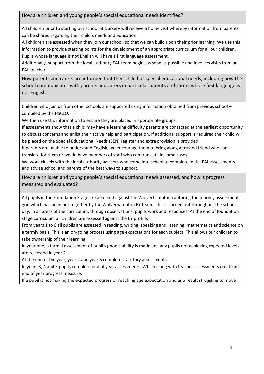How are children and young people's special educational needs identified?

All children prior to starting our school at Nursery will receive a home visit whereby information from parents can be shared regarding their child's needs and education.

All children are assessed when they join our school, so that we can build upon their prior learning. We use this information to provide starting points for the development of an appropriate curriculum for all our children. Pupils whose language is not English will have a first language assessment.

Additionally, support from the local authority EAL team begins as soon as possible and involves visits from an EAL teacher

How parents and carers are informed that their child has special educational needs, including how the school communicates with parents and carers in particular parents and carers whose first language is not English.

Children who join us from other schools are supported using information obtained from previous school – compiled by the HSCLO.

We then use this information to ensure they are placed in appropriate groups.

If assessments show that a child may have a learning difficulty parents are contacted at the earliest opportunity to discuss concerns and enlist their active help and participation. If additional support is required their child will be placed on the Special Educational Needs (SEN) register and extra provision is provided.

If parents are unable to understand English, we encourage them to bring along a trusted friend who can translate for them or we do have members of staff who can translate in some cases.

We work closely with the local authority advisers who come into school to complete initial EAL assessments and advise school and parents of the best ways to support.

How are children and young people's special educational needs assessed, and how is progress measured and evaluated?

All pupils in the Foundation Stage are assessed against the Wolverhampton capturing the journey assessment grid which has been put together by the Wolverhampton EY team. This is carried out throughout the school day, in all areas of the curriculum, through observations, pupils work and responses. At the end of foundation stage curriculum all children are assessed against the EY profile.

From years 1 to 6 all pupils are assessed in reading, writing, speaking and listening, mathematics and science on a termly basis. This is an on-going process using age expectations for each subject. This allows our children to take ownership of their learning.

In year one, a formal assessment of pupil's phonic ability is made and any pupils not achieving expected levels are re-tested in year 2.

At the end of the year, year 2 and year 6 complete statutory assessments.

In years 3, 4 and 5 pupils complete end of year assessments. Which along with teacher assessments create an end of year progress measure.

If a pupil is not making the expected progress or reaching age expectation and as a result struggling to move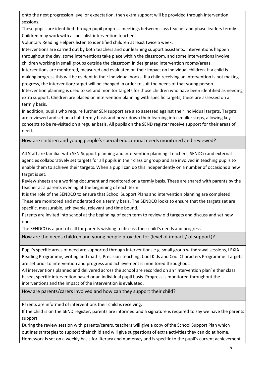onto the next progression level or expectation, then extra support will be provided through intervention sessions.

These pupils are identified through pupil progress meetings between class teacher and phase leaders termly. Children may work with a specialist intervention teacher.

Voluntary Reading Helpers listen to identified children at least twice a week.

Interventions are carried out by both teachers and our learning support assistants. Interventions happen throughout the day, some interventions take place within the classroom, and some interventions involve children working in small groups outside the classroom in designated intervention rooms/areas.

Interventions are monitored, measured and evaluated on their impact on individual children. If a child is making progress this will be evident in their individual books. If a child receiving an intervention is not making progress, the intervention/target will be changed in order to suit the needs of that young person.

Intervention planning is used to set and monitor targets for those children who have been identified as needing extra support. Children are placed on intervention planning with specific targets; these are assessed on a termly basis.

In addition, pupils who require further SEN support are also assessed against their Individual targets. Targets are reviewed and set on a half termly basis and break down their learning into smaller steps, allowing key concepts to be re-visited on a regular basis. All pupils on the SEND register receive support for their areas of need.

How are children and young people's special educational needs monitored and reviewed?

All Staff are familiar with SEN Support planning and intervention planning. Teachers, SENDCo and external agencies collaboratively set targets for all pupils in their class or group and are involved in teaching pupils to enable them to achieve their targets. When a pupil can do this independently on a number of occasions a new target is set.

Review sheets are a working document and monitored on a termly basis. These are shared with parents by the teacher at a parents evening at the beginning of each term.

It is the role of the SENDCO to ensure that School Support Plans and intervention planning are completed.

These are monitored and moderated on a termly basis. The SENDCO looks to ensure that the targets set are specific, measurable, achievable, relevant and time bound.

Parents are invited into school at the beginning of each term to review old targets and discuss and set new ones.

The SENDCO is a port of call for parents wishing to discuss their child's needs and progress.

How are the needs children and young people provided for (level of impact / of support)?

Pupil's specific areas of need are supported through interventions e.g. small group withdrawal sessions, LEXIA Reading Programme, writing and maths, Precision Teaching, Cool Kids and Cool Characters Programme. Targets are set prior to intervention and progress and achievement is monitored throughout.

All interventions planned and delivered across the school are recorded on an 'Intervention plan' either class based, specific intervention based or an individual pupil basis. Progress is monitored throughout the interventions and the impact of the intervention is evaluated.

How are parents/carers involved and how can they support their child?

Parents are informed of interventions their child is receiving.

If the child is on the SEND register, parents are informed and a signature is required to say we have the parents support.

During the review session with parents/carers, teachers will give a copy of the School Support Plan which outlines strategies to support their child and will give suggestions of extra activities they can do at home. Homework is set on a weekly basis for literacy and numeracy and is specific to the pupil's current achievement.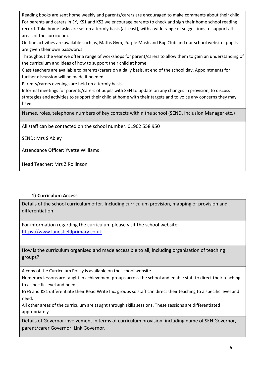Reading books are sent home weekly and parents/carers are encouraged to make comments about their child. For parents and carers in EY, KS1 and KS2 we encourage parents to check and sign their home school reading record. Take home tasks are set on a termly basis (at least), with a wide range of suggestions to support all areas of the curriculum.

On-line activities are available such as, Maths Gym, Purple Mash and Bug Club and our school website; pupils are given their own passwords.

Throughout the year we offer a range of workshops for parent/carers to allow them to gain an understanding of the curriculum and ideas of how to support their child at home.

Class teachers are available to parents/carers on a daily basis, at end of the school day. Appointments for further discussion will be made if needed.

Parents/carers evenings are held on a termly basis.

Informal meetings for parents/carers of pupils with SEN to update on any changes in provision, to discuss strategies and activities to support their child at home with their targets and to voice any concerns they may have.

Names, roles, telephone numbers of key contacts within the school (SEND, Inclusion Manager etc.)

All staff can be contacted on the school number: 01902 558 950

SEND: Mrs S Abley

Attendance Officer: Yvette Williams

Head Teacher: Mrs Z Rollinson

#### **1) Curriculum Access**

Details of the school curriculum offer. Including curriculum provision, mapping of provision and differentiation.

For information regarding the curriculum please visit the school website: [https://www.lanesfieldprimary.co.uk](https://www.lanesfieldprimary.co.uk/)

How is the curriculum organised and made accessible to all, including organisation of teaching groups?

A copy of the Curriculum Policy is available on the school website.

Numeracy lessons are taught in achievement groups across the school and enable staff to direct their teaching to a specific level and need.

EYFS and KS1 differentiate their Read Write Inc. groups so staff can direct their teaching to a specific level and need.

All other areas of the curriculum are taught through skills sessions. These sessions are differentiated appropriately

Details of Governor involvement in terms of curriculum provision, including name of SEN Governor, parent/carer Governor, Link Governor.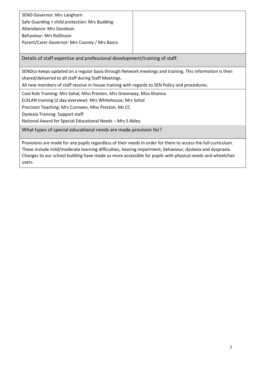| SEND Governor: Mrs Langhorn                   |
|-----------------------------------------------|
| Safe Guarding + child protection: Mrs Budding |
| Attendance: Mrs Davidson                      |
| Behaviour: Mrs Rollinson                      |
| Parent/Carer Governor: Mrs Cooney / Mrs Basra |
|                                               |

Details of staff expertise and professional development/training of staff.

SENDco keeps updated on a regular basis through Network meetings and training. This information is then shared/delivered to all staff during Staff Meetings.

All new members of staff receive in-house training with regards to SEN Policy and procedures.

Cool Kids Training: Mrs Sohal, Miss Preston, Mrs Greenway, Miss Khanna

ELKLAN training (2 day overview): Mrs Whitehouse, Mrs Sohal

Precision Teaching: Mrs Cunneen, Miss Preston, Ms CC

Dyslexia Training: Support staff

National Award for Special Educational Needs – Mrs S Abley

What types of special educational needs are made provision for?

Provisions are made for any pupils regardless of their needs in order for them to access the full curriculum. These include mild/moderate learning difficulties, hearing impairment, behaviour, dyslexia and dyspraxia. Changes to our school building have made us more accessible for pupils with physical needs and wheelchair users.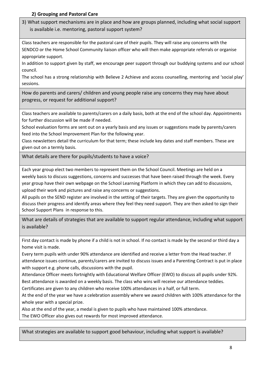## **2) Grouping and Pastoral Care**

3) What support mechanisms are in place and how are groups planned, including what social support is available i.e. mentoring, pastoral support system?

Class teachers are responsible for the pastoral care of their pupils. They will raise any concerns with the SENDCO or the Home School Community liaison officer who will then make appropriate referrals or organise appropriate support.

In addition to support given by staff, we encourage peer support through our buddying systems and our school council.

The school has a strong relationship with Believe 2 Achieve and access counselling, mentoring and 'social play' sessions.

How do parents and carers/ children and young people raise any concerns they may have about progress, or request for additional support?

Class teachers are available to parents/carers on a daily basis, both at the end of the school day. Appointments for further discussion will be made if needed.

School evaluation forms are sent out on a yearly basis and any issues or suggestions made by parents/carers feed into the School Improvement Plan for the following year.

Class newsletters detail the curriculum for that term; these include key dates and staff members. These are given out on a termly basis.

What details are there for pupils/students to have a voice?

Each year group elect two members to represent them on the School Council. Meetings are held on a weekly basis to discuss suggestions, concerns and successes that have been raised through the week. Every year group have their own webpage on the School Learning Platform in which they can add to discussions, upload their work and pictures and raise any concerns or suggestions.

All pupils on the SEND register are involved in the setting of their targets. They are given the opportunity to discuss their progress and identify areas where they feel they need support. They are then asked to sign their School Support Plans in response to this.

What are details of strategies that are available to support regular attendance, including what support is available?

First day contact is made by phone if a child is not in school. If no contact is made by the second or third day a home visit is made.

Every term pupils with under 90% attendance are identified and receive a letter from the Head teacher. If attendance issues continue, parents/carers are invited to discuss issues and a Parenting Contract is put in place with support e.g. phone calls, discussions with the pupil.

Attendance Officer meets fortnightly with Educational Welfare Officer (EWO) to discuss all pupils under 92%. Best attendance is awarded on a weekly basis. The class who wins will receive our attendance teddies.

Certificates are given to any children who receive 100% attendances in a half, or full term.

At the end of the year we have a celebration assembly where we award children with 100% attendance for the whole year with a special prize.

Also at the end of the year, a medal is given to pupils who have maintained 100% attendance. The EWO Officer also gives out rewards for most improved attendance.

What strategies are available to support good behaviour, including what support is available?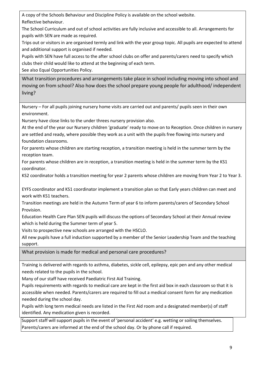A copy of the Schools Behaviour and Discipline Policy is available on the school website. Reflective behaviour.

The School Curriculum and out of school activities are fully inclusive and accessible to all. Arrangements for pupils with SEN are made as required.

Trips out or visitors in are organised termly and link with the year group topic. All pupils are expected to attend and additional support is organised if needed.

Pupils with SEN have full access to the after school clubs on offer and parents/carers need to specify which clubs their child would like to attend at the beginning of each term.

See also Equal Opportunities Policy.

What transition procedures and arrangements take place in school including moving into school and moving on from school? Also how does the school prepare young people for adulthood/ independent living?

Nursery – For all pupils joining nursery home visits are carried out and parents/ pupils seen in their own environment.

Nursery have close links to the under threes nursery provision also.

At the end of the year our Nursery children 'graduate' ready to move on to Reception. Once children in nursery are settled and ready, where possible they work as a unit with the pupils free flowing into nursery and foundation classrooms.

For parents whose children are starting reception, a transition meeting is held in the summer term by the reception team.

For parents whose children are in reception, a transition meeting is held in the summer term by the KS1 coordinator.

KS2 coordinator holds a transition meeting for year 2 parents whose children are moving from Year 2 to Year 3.

EYFS coordinator and KS1 coordinator implement a transition plan so that Early years children can meet and work with KS1 teachers.

Transition meetings are held in the Autumn Term of year 6 to inform parents/carers of Secondary School Provision.

Education Health Care Plan SEN pupils will discuss the options of Secondary School at their Annual review which is held during the Summer term of year 5.

Visits to prospective new schools are arranged with the HSCLO.

All new pupils have a full induction supported by a member of the Senior Leadership Team and the teaching support.

What provision is made for medical and personal care procedures?

Training is delivered with regards to asthma, diabetes, sickle cell, epilepsy, epic pen and any other medical needs related to the pupils in the school.

Many of our staff have received Paediatric First Aid Training.

Pupils requirements with regards to medical care are kept in the first aid box in each classroom so that it is accessible when needed. Parents/carers are required to fill out a medical consent form for any medication needed during the school day.

Pupils with long term medical needs are listed in the First Aid room and a designated member(s) of staff identified. Any medication given is recorded.

Support staff will support pupils in the event of 'personal accident' e.g. wetting or soiling themselves. Parents/carers are informed at the end of the school day. Or by phone call if required.